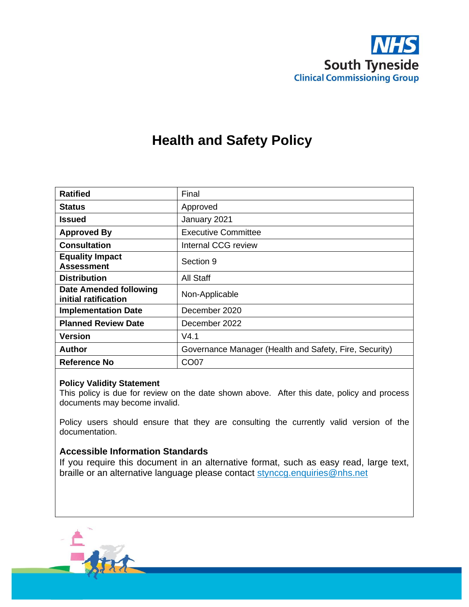

# **Health and Safety Policy**

| <b>Ratified</b>                                       | Final                                                  |
|-------------------------------------------------------|--------------------------------------------------------|
| <b>Status</b>                                         | Approved                                               |
| Issued                                                | January 2021                                           |
| <b>Approved By</b>                                    | <b>Executive Committee</b>                             |
| <b>Consultation</b>                                   | Internal CCG review                                    |
| <b>Equality Impact</b><br><b>Assessment</b>           | Section 9                                              |
| <b>Distribution</b>                                   | All Staff                                              |
| <b>Date Amended following</b><br>initial ratification | Non-Applicable                                         |
| <b>Implementation Date</b>                            | December 2020                                          |
| <b>Planned Review Date</b>                            | December 2022                                          |
| Version                                               | V4.1                                                   |
| Author                                                | Governance Manager (Health and Safety, Fire, Security) |
| Reference No                                          | CO <sub>07</sub>                                       |

#### **Policy Validity Statement**

This policy is due for review on the date shown above. After this date, policy and process documents may become invalid.

Policy users should ensure that they are consulting the currently valid version of the documentation.

#### **Accessible Information Standards**

If you require this document in an alternative format, such as easy read, large text, braille or an alternative language please contact [stynccg.enquiries@nhs.net](mailto:stynccg.enquiries@nhs.net)

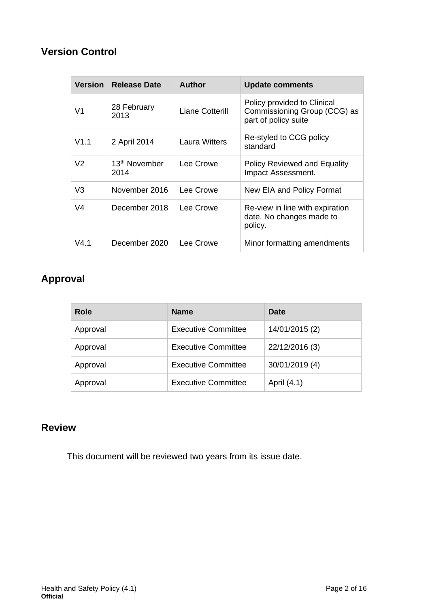## **Version Control**

| <b>Version</b> | <b>Release Date</b>               | <b>Author</b>   | <b>Update comments</b>                                                              |
|----------------|-----------------------------------|-----------------|-------------------------------------------------------------------------------------|
| V <sub>1</sub> | 28 February<br>2013               | Liane Cotterill | Policy provided to Clinical<br>Commissioning Group (CCG) as<br>part of policy suite |
| V1.1           | 2 April 2014                      | Laura Witters   | Re-styled to CCG policy<br>standard                                                 |
| V <sub>2</sub> | 13 <sup>th</sup> November<br>2014 | Lee Crowe       | <b>Policy Reviewed and Equality</b><br>Impact Assessment.                           |
| V3             | November 2016                     | Lee Crowe       | New EIA and Policy Format                                                           |
| V <sub>4</sub> | December 2018                     | Lee Crowe       | Re-view in line with expiration<br>date. No changes made to<br>policy.              |
| V4.1           | December 2020                     | Lee Crowe       | Minor formatting amendments                                                         |

# **Approval**

| Role     | <b>Name</b>                | <b>Date</b>    |
|----------|----------------------------|----------------|
| Approval | <b>Executive Committee</b> | 14/01/2015 (2) |
| Approval | <b>Executive Committee</b> | 22/12/2016 (3) |
| Approval | <b>Executive Committee</b> | 30/01/2019 (4) |
| Approval | <b>Executive Committee</b> | April (4.1)    |

## **Review**

This document will be reviewed two years from its issue date.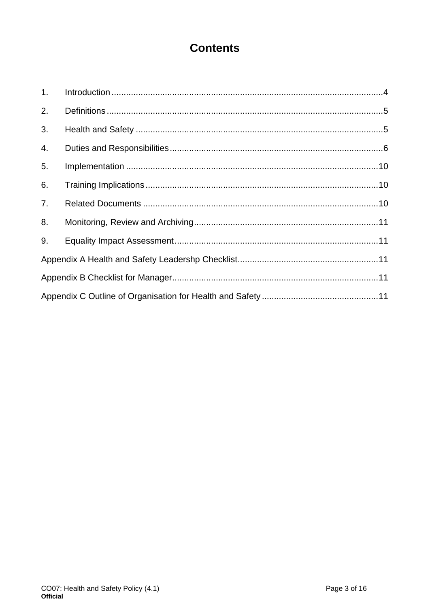# **Contents**

| 1. |  |
|----|--|
| 2. |  |
| 3. |  |
| 4. |  |
| 5. |  |
| 6. |  |
| 7. |  |
| 8. |  |
| 9. |  |
|    |  |
|    |  |
|    |  |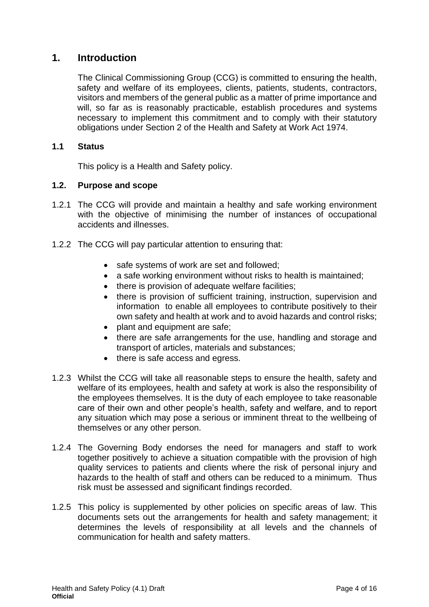## <span id="page-3-0"></span>**1. Introduction**

The Clinical Commissioning Group (CCG) is committed to ensuring the health, safety and welfare of its employees, clients, patients, students, contractors, visitors and members of the general public as a matter of prime importance and will, so far as is reasonably practicable, establish procedures and systems necessary to implement this commitment and to comply with their statutory obligations under Section 2 of the Health and Safety at Work Act 1974.

#### **1.1 Status**

This policy is a Health and Safety policy.

#### **1.2. Purpose and scope**

- 1.2.1 The CCG will provide and maintain a healthy and safe working environment with the objective of minimising the number of instances of occupational accidents and illnesses.
- 1.2.2 The CCG will pay particular attention to ensuring that:
	- safe systems of work are set and followed;
	- a safe working environment without risks to health is maintained;
	- there is provision of adequate welfare facilities;
	- there is provision of sufficient training, instruction, supervision and information to enable all employees to contribute positively to their own safety and health at work and to avoid hazards and control risks;
	- plant and equipment are safe;
	- there are safe arrangements for the use, handling and storage and transport of articles, materials and substances;
	- there is safe access and egress.
- 1.2.3 Whilst the CCG will take all reasonable steps to ensure the health, safety and welfare of its employees, health and safety at work is also the responsibility of the employees themselves. It is the duty of each employee to take reasonable care of their own and other people's health, safety and welfare, and to report any situation which may pose a serious or imminent threat to the wellbeing of themselves or any other person.
- 1.2.4 The Governing Body endorses the need for managers and staff to work together positively to achieve a situation compatible with the provision of high quality services to patients and clients where the risk of personal injury and hazards to the health of staff and others can be reduced to a minimum. Thus risk must be assessed and significant findings recorded.
- 1.2.5 This policy is supplemented by other policies on specific areas of law. This documents sets out the arrangements for health and safety management; it determines the levels of responsibility at all levels and the channels of communication for health and safety matters.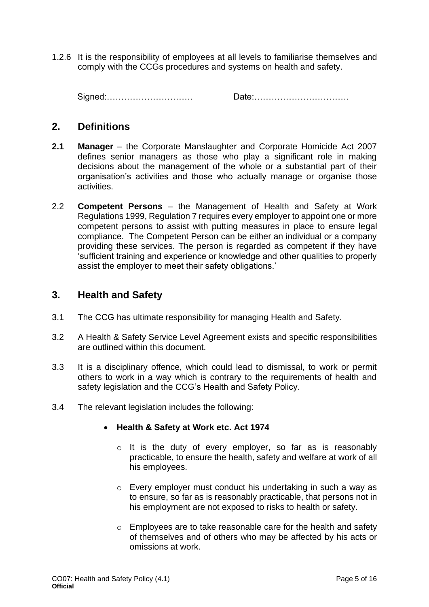1.2.6 It is the responsibility of employees at all levels to familiarise themselves and comply with the CCGs procedures and systems on health and safety.

Signed:………………………… Date:……………………………

## <span id="page-4-0"></span>**2. Definitions**

- **2.1 Manager** the Corporate Manslaughter and Corporate Homicide Act 2007 defines senior managers as those who play a significant role in making decisions about the management of the whole or a substantial part of their organisation's activities and those who actually manage or organise those activities.
- 2.2 **Competent Persons** the Management of Health and Safety at Work Regulations 1999, Regulation 7 requires every employer to appoint one or more competent persons to assist with putting measures in place to ensure legal compliance. The Competent Person can be either an individual or a company providing these services. The person is regarded as competent if they have 'sufficient training and experience or knowledge and other qualities to properly assist the employer to meet their safety obligations.'

## <span id="page-4-1"></span>**3. Health and Safety**

- 3.1 The CCG has ultimate responsibility for managing Health and Safety.
- 3.2 A Health & Safety Service Level Agreement exists and specific responsibilities are outlined within this document.
- 3.3 It is a disciplinary offence, which could lead to dismissal, to work or permit others to work in a way which is contrary to the requirements of health and safety legislation and the CCG's Health and Safety Policy.
- 3.4 The relevant legislation includes the following:

#### • **Health & Safety at Work etc. Act 1974**

- o It is the duty of every employer, so far as is reasonably practicable, to ensure the health, safety and welfare at work of all his employees.
- o Every employer must conduct his undertaking in such a way as to ensure, so far as is reasonably practicable, that persons not in his employment are not exposed to risks to health or safety.
- o Employees are to take reasonable care for the health and safety of themselves and of others who may be affected by his acts or omissions at work.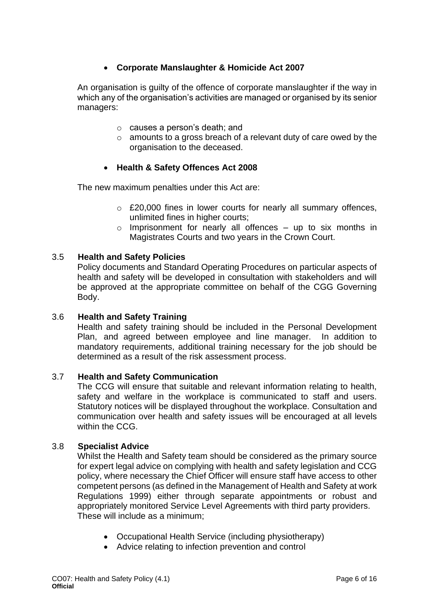### • **Corporate Manslaughter & Homicide Act 2007**

An organisation is guilty of the offence of corporate manslaughter if the way in which any of the organisation's activities are managed or organised by its senior managers:

- o causes a person's death; and
- $\circ$  amounts to a gross breach of a relevant duty of care owed by the organisation to the deceased.

#### • **Health & Safety Offences Act 2008**

The new maximum penalties under this Act are:

- o £20,000 fines in lower courts for nearly all summary offences, unlimited fines in higher courts;
- $\circ$  Imprisonment for nearly all offences up to six months in Magistrates Courts and two years in the Crown Court.

#### 3.5 **Health and Safety Policies**

Policy documents and Standard Operating Procedures on particular aspects of health and safety will be developed in consultation with stakeholders and will be approved at the appropriate committee on behalf of the CGG Governing Body.

#### 3.6 **Health and Safety Training**

Health and safety training should be included in the Personal Development Plan, and agreed between employee and line manager. In addition to mandatory requirements, additional training necessary for the job should be determined as a result of the risk assessment process.

#### 3.7 **Health and Safety Communication**

The CCG will ensure that suitable and relevant information relating to health, safety and welfare in the workplace is communicated to staff and users. Statutory notices will be displayed throughout the workplace. Consultation and communication over health and safety issues will be encouraged at all levels within the CCG.

#### 3.8 **Specialist Advice**

Whilst the Health and Safety team should be considered as the primary source for expert legal advice on complying with health and safety legislation and CCG policy, where necessary the Chief Officer will ensure staff have access to other competent persons (as defined in the Management of Health and Safety at work Regulations 1999) either through separate appointments or robust and appropriately monitored Service Level Agreements with third party providers. These will include as a minimum;

- Occupational Health Service (including physiotherapy)
- Advice relating to infection prevention and control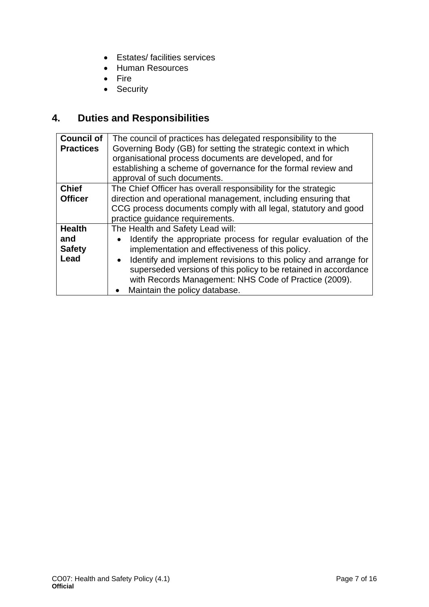- Estates/ facilities services
- Human Resources
- Fire
- Security

# <span id="page-6-0"></span>**4. Duties and Responsibilities**

| <b>Council of</b> | The council of practices has delegated responsibility to the    |
|-------------------|-----------------------------------------------------------------|
| <b>Practices</b>  | Governing Body (GB) for setting the strategic context in which  |
|                   | organisational process documents are developed, and for         |
|                   | establishing a scheme of governance for the formal review and   |
|                   | approval of such documents.                                     |
| <b>Chief</b>      | The Chief Officer has overall responsibility for the strategic  |
| <b>Officer</b>    | direction and operational management, including ensuring that   |
|                   | CCG process documents comply with all legal, statutory and good |
|                   | practice guidance requirements.                                 |
| <b>Health</b>     | The Health and Safety Lead will:                                |
| and               | Identify the appropriate process for regular evaluation of the  |
| <b>Safety</b>     | implementation and effectiveness of this policy.                |
| Lead              | Identify and implement revisions to this policy and arrange for |
|                   | superseded versions of this policy to be retained in accordance |
|                   | with Records Management: NHS Code of Practice (2009).           |
|                   | Maintain the policy database.<br>$\bullet$                      |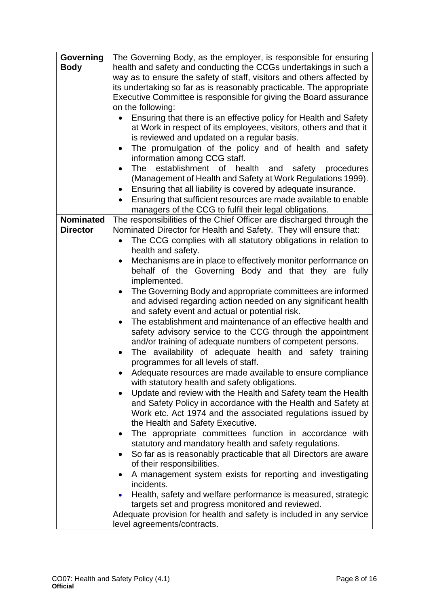| Governing        | The Governing Body, as the employer, is responsible for ensuring      |
|------------------|-----------------------------------------------------------------------|
| <b>Body</b>      | health and safety and conducting the CCGs undertakings in such a      |
|                  | way as to ensure the safety of staff, visitors and others affected by |
|                  | its undertaking so far as is reasonably practicable. The appropriate  |
|                  | Executive Committee is responsible for giving the Board assurance     |
|                  | on the following:                                                     |
|                  | Ensuring that there is an effective policy for Health and Safety      |
|                  | at Work in respect of its employees, visitors, others and that it     |
|                  | is reviewed and updated on a regular basis.                           |
|                  | The promulgation of the policy and of health and safety               |
|                  | information among CCG staff.                                          |
|                  | The establishment of health and safety procedures                     |
|                  | (Management of Health and Safety at Work Regulations 1999).           |
|                  | Ensuring that all liability is covered by adequate insurance.         |
|                  | Ensuring that sufficient resources are made available to enable       |
|                  | managers of the CCG to fulfil their legal obligations.                |
| <b>Nominated</b> | The responsibilities of the Chief Officer are discharged through the  |
| <b>Director</b>  | Nominated Director for Health and Safety. They will ensure that:      |
|                  | The CCG complies with all statutory obligations in relation to        |
|                  | health and safety.                                                    |
|                  | Mechanisms are in place to effectively monitor performance on<br>٠    |
|                  | behalf of the Governing Body and that they are fully                  |
|                  | implemented.                                                          |
|                  | The Governing Body and appropriate committees are informed            |
|                  | and advised regarding action needed on any significant health         |
|                  | and safety event and actual or potential risk.                        |
|                  | The establishment and maintenance of an effective health and          |
|                  | safety advisory service to the CCG through the appointment            |
|                  | and/or training of adequate numbers of competent persons.             |
|                  | The availability of adequate health and safety training<br>$\bullet$  |
|                  | programmes for all levels of staff.                                   |
|                  | Adequate resources are made available to ensure compliance            |
|                  | with statutory health and safety obligations.                         |
|                  | Update and review with the Health and Safety team the Health          |
|                  | and Safety Policy in accordance with the Health and Safety at         |
|                  | Work etc. Act 1974 and the associated regulations issued by           |
|                  | the Health and Safety Executive.                                      |
|                  | The appropriate committees function in accordance with                |
|                  | statutory and mandatory health and safety regulations.                |
|                  | So far as is reasonably practicable that all Directors are aware      |
|                  | of their responsibilities.                                            |
|                  | A management system exists for reporting and investigating<br>٠       |
|                  | incidents.                                                            |
|                  | Health, safety and welfare performance is measured, strategic         |
|                  | targets set and progress monitored and reviewed.                      |
|                  | Adequate provision for health and safety is included in any service   |
|                  | level agreements/contracts.                                           |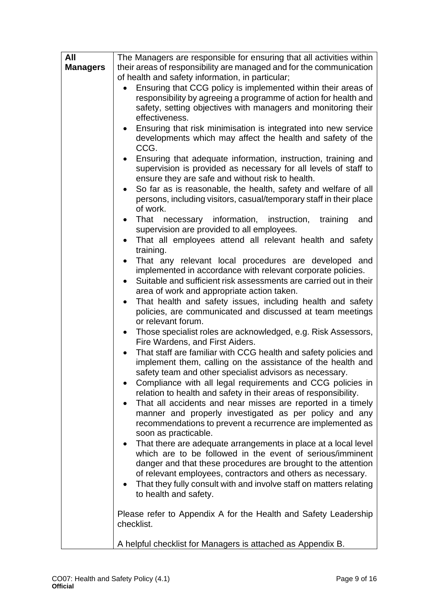| All             | The Managers are responsible for ensuring that all activities within                               |  |  |
|-----------------|----------------------------------------------------------------------------------------------------|--|--|
| <b>Managers</b> | their areas of responsibility are managed and for the communication                                |  |  |
|                 | of health and safety information, in particular;                                                   |  |  |
|                 | Ensuring that CCG policy is implemented within their areas of                                      |  |  |
|                 | responsibility by agreeing a programme of action for health and                                    |  |  |
|                 | safety, setting objectives with managers and monitoring their                                      |  |  |
|                 | effectiveness.                                                                                     |  |  |
|                 | Ensuring that risk minimisation is integrated into new service                                     |  |  |
|                 | developments which may affect the health and safety of the                                         |  |  |
|                 | CCG.                                                                                               |  |  |
|                 | Ensuring that adequate information, instruction, training and                                      |  |  |
|                 | supervision is provided as necessary for all levels of staff to                                    |  |  |
|                 | ensure they are safe and without risk to health.                                                   |  |  |
|                 | So far as is reasonable, the health, safety and welfare of all<br>$\bullet$                        |  |  |
|                 | persons, including visitors, casual/temporary staff in their place                                 |  |  |
|                 | of work.                                                                                           |  |  |
|                 | That necessary information, instruction,<br>training<br>and<br>$\bullet$                           |  |  |
|                 | supervision are provided to all employees.                                                         |  |  |
|                 | That all employees attend all relevant health and safety                                           |  |  |
|                 | training.                                                                                          |  |  |
|                 | That any relevant local procedures are developed and                                               |  |  |
|                 | implemented in accordance with relevant corporate policies.                                        |  |  |
|                 | Suitable and sufficient risk assessments are carried out in their                                  |  |  |
|                 | area of work and appropriate action taken.                                                         |  |  |
|                 | That health and safety issues, including health and safety<br>$\bullet$                            |  |  |
|                 | policies, are communicated and discussed at team meetings                                          |  |  |
|                 | or relevant forum.                                                                                 |  |  |
|                 | Those specialist roles are acknowledged, e.g. Risk Assessors,<br>$\bullet$                         |  |  |
|                 | Fire Wardens, and First Aiders.<br>That staff are familiar with CCG health and safety policies and |  |  |
|                 | $\bullet$<br>implement them, calling on the assistance of the health and                           |  |  |
|                 | safety team and other specialist advisors as necessary.                                            |  |  |
|                 | Compliance with all legal requirements and CCG policies in<br>٠                                    |  |  |
|                 | relation to health and safety in their areas of responsibility.                                    |  |  |
|                 | That all accidents and near misses are reported in a timely                                        |  |  |
|                 | manner and properly investigated as per policy and any                                             |  |  |
|                 | recommendations to prevent a recurrence are implemented as                                         |  |  |
|                 | soon as practicable.                                                                               |  |  |
|                 | That there are adequate arrangements in place at a local level<br>$\bullet$                        |  |  |
|                 | which are to be followed in the event of serious/imminent                                          |  |  |
|                 | danger and that these procedures are brought to the attention                                      |  |  |
|                 | of relevant employees, contractors and others as necessary.                                        |  |  |
|                 | That they fully consult with and involve staff on matters relating                                 |  |  |
|                 | to health and safety.                                                                              |  |  |
|                 |                                                                                                    |  |  |
|                 | Please refer to Appendix A for the Health and Safety Leadership                                    |  |  |
|                 | checklist.                                                                                         |  |  |
|                 |                                                                                                    |  |  |
|                 | A helpful checklist for Managers is attached as Appendix B.                                        |  |  |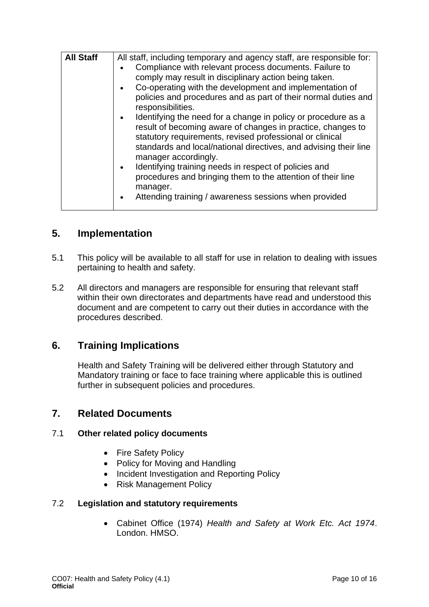| <b>All Staff</b> | All staff, including temporary and agency staff, are responsible for:<br>Compliance with relevant process documents. Failure to<br>$\bullet$<br>comply may result in disciplinary action being taken.<br>Co-operating with the development and implementation of<br>$\bullet$<br>policies and procedures and as part of their normal duties and<br>responsibilities.<br>Identifying the need for a change in policy or procedure as a<br>$\bullet$<br>result of becoming aware of changes in practice, changes to<br>statutory requirements, revised professional or clinical<br>standards and local/national directives, and advising their line<br>manager accordingly.<br>Identifying training needs in respect of policies and<br>$\bullet$<br>procedures and bringing them to the attention of their line<br>manager.<br>Attending training / awareness sessions when provided<br>$\bullet$ |
|------------------|--------------------------------------------------------------------------------------------------------------------------------------------------------------------------------------------------------------------------------------------------------------------------------------------------------------------------------------------------------------------------------------------------------------------------------------------------------------------------------------------------------------------------------------------------------------------------------------------------------------------------------------------------------------------------------------------------------------------------------------------------------------------------------------------------------------------------------------------------------------------------------------------------|

## <span id="page-9-0"></span>**5. Implementation**

- 5.1 This policy will be available to all staff for use in relation to dealing with issues pertaining to health and safety.
- 5.2 All directors and managers are responsible for ensuring that relevant staff within their own directorates and departments have read and understood this document and are competent to carry out their duties in accordance with the procedures described.

## <span id="page-9-1"></span>**6. Training Implications**

Health and Safety Training will be delivered either through Statutory and Mandatory training or face to face training where applicable this is outlined further in subsequent policies and procedures.

## <span id="page-9-2"></span>**7. Related Documents**

#### 7.1 **Other related policy documents**

- Fire Safety Policy
- Policy for Moving and Handling
- Incident Investigation and Reporting Policy
- Risk Management Policy

#### 7.2 **Legislation and statutory requirements**

• Cabinet Office (1974) *Health and Safety at Work Etc. Act 1974*. London. HMSO.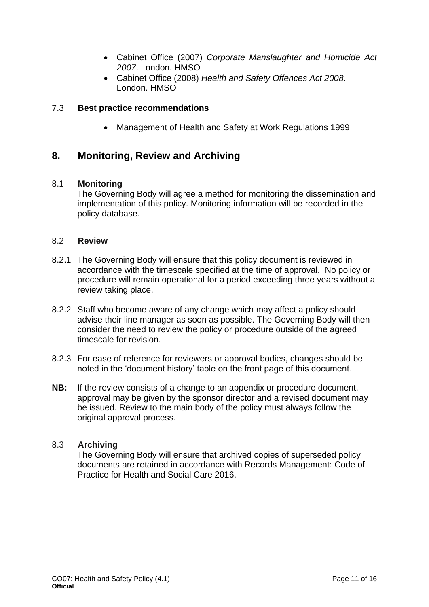- Cabinet Office (2007) *Corporate Manslaughter and Homicide Act 2007*. London. HMSO
- Cabinet Office (2008) *Health and Safety Offences Act 2008*. London. HMSO

#### 7.3 **Best practice recommendations**

• Management of Health and Safety at Work Regulations 1999

## <span id="page-10-0"></span>**8. Monitoring, Review and Archiving**

#### 8.1 **Monitoring**

The Governing Body will agree a method for monitoring the dissemination and implementation of this policy. Monitoring information will be recorded in the policy database.

#### 8.2 **Review**

- 8.2.1 The Governing Body will ensure that this policy document is reviewed in accordance with the timescale specified at the time of approval. No policy or procedure will remain operational for a period exceeding three years without a review taking place.
- 8.2.2 Staff who become aware of any change which may affect a policy should advise their line manager as soon as possible. The Governing Body will then consider the need to review the policy or procedure outside of the agreed timescale for revision.
- 8.2.3 For ease of reference for reviewers or approval bodies, changes should be noted in the 'document history' table on the front page of this document.
- **NB:** If the review consists of a change to an appendix or procedure document, approval may be given by the sponsor director and a revised document may be issued. Review to the main body of the policy must always follow the original approval process.

#### 8.3 **Archiving**

The Governing Body will ensure that archived copies of superseded policy documents are retained in accordance with Records Management: Code of Practice for Health and Social Care 2016.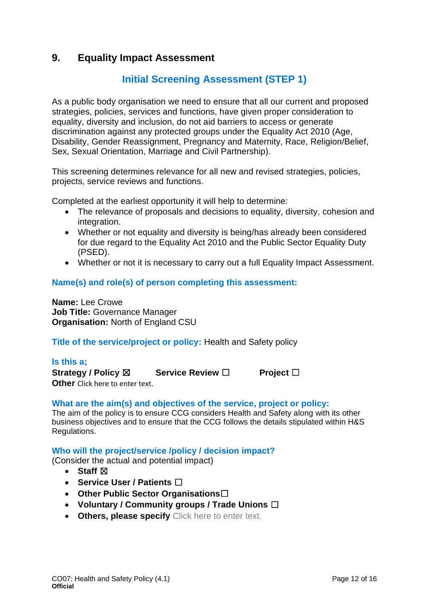## **9. Equality Impact Assessment**

## **Initial Screening Assessment (STEP 1)**

As a public body organisation we need to ensure that all our current and proposed strategies, policies, services and functions, have given proper consideration to equality, diversity and inclusion, do not aid barriers to access or generate discrimination against any protected groups under the Equality Act 2010 (Age, Disability, Gender Reassignment, Pregnancy and Maternity, Race, Religion/Belief, Sex, Sexual Orientation, Marriage and Civil Partnership).

This screening determines relevance for all new and revised strategies, policies, projects, service reviews and functions.

Completed at the earliest opportunity it will help to determine:

- The relevance of proposals and decisions to equality, diversity, cohesion and integration.
- Whether or not equality and diversity is being/has already been considered for due regard to the Equality Act 2010 and the Public Sector Equality Duty (PSED).
- Whether or not it is necessary to carry out a full Equality Impact Assessment.

#### **Name(s) and role(s) of person completing this assessment:**

**Name:** Lee Crowe **Job Title:** Governance Manager **Organisation:** North of England CSU

**Title of the service/project or policy:** Health and Safety policy

#### **Is this a;**

**Strategy / Policy** ☒ **Service Review** ☐ **Project** ☐ **Other** Click here to enter text.

#### **What are the aim(s) and objectives of the service, project or policy:**

The aim of the policy is to ensure CCG considers Health and Safety along with its other business objectives and to ensure that the CCG follows the details stipulated within H&S Regulations.

#### **Who will the project/service /policy / decision impact?**

(Consider the actual and potential impact)

- **Staff**  $⊠$
- **Service User / Patients** ☐
- **Other Public Sector Organisations**☐
- **Voluntary / Community groups / Trade Unions** ☐
- **Others, please specify** Click here to enter text.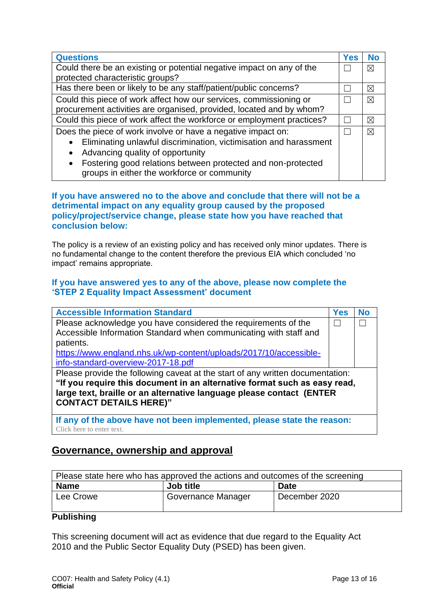| <b>Questions</b>                                                          | <b>Yes</b> | <b>No</b>   |
|---------------------------------------------------------------------------|------------|-------------|
| Could there be an existing or potential negative impact on any of the     |            |             |
| protected characteristic groups?                                          |            |             |
| Has there been or likely to be any staff/patient/public concerns?         |            | ⊠           |
| Could this piece of work affect how our services, commissioning or        |            | $\boxtimes$ |
| procurement activities are organised, provided, located and by whom?      |            |             |
| Could this piece of work affect the workforce or employment practices?    |            | ⊠           |
| Does the piece of work involve or have a negative impact on:              |            | ⊠           |
| Eliminating unlawful discrimination, victimisation and harassment         |            |             |
| Advancing quality of opportunity<br>$\bullet$                             |            |             |
| Fostering good relations between protected and non-protected<br>$\bullet$ |            |             |
| groups in either the workforce or community                               |            |             |

#### **If you have answered no to the above and conclude that there will not be a detrimental impact on any equality group caused by the proposed policy/project/service change, please state how you have reached that conclusion below:**

The policy is a review of an existing policy and has received only minor updates. There is no fundamental change to the content therefore the previous EIA which concluded 'no impact' remains appropriate.

#### **If you have answered yes to any of the above, please now complete the 'STEP 2 Equality Impact Assessment' document**

| <b>Accessible Information Standard</b>                                         | Yes | <b>No</b> |
|--------------------------------------------------------------------------------|-----|-----------|
| Please acknowledge you have considered the requirements of the                 |     |           |
| Accessible Information Standard when communicating with staff and              |     |           |
| patients.                                                                      |     |           |
| https://www.england.nhs.uk/wp-content/uploads/2017/10/accessible-              |     |           |
| info-standard-overview-2017-18.pdf                                             |     |           |
| Please provide the following caveat at the start of any written documentation: |     |           |
| "If you require this document in an alternative format such as easy read,      |     |           |
| large text, braille or an alternative language please contact (ENTER           |     |           |
| <b>CONTACT DETAILS HERE)"</b>                                                  |     |           |
|                                                                                |     |           |
| If any of the above have not been implemented, please state the reason:        |     |           |

Click here to enter text.

## **Governance, ownership and approval**

| Please state here who has approved the actions and outcomes of the screening |                    |               |
|------------------------------------------------------------------------------|--------------------|---------------|
| <b>Name</b>                                                                  | Job title          | <b>Date</b>   |
| Lee Crowe                                                                    | Governance Manager | December 2020 |

#### **Publishing**

This screening document will act as evidence that due regard to the Equality Act 2010 and the Public Sector Equality Duty (PSED) has been given.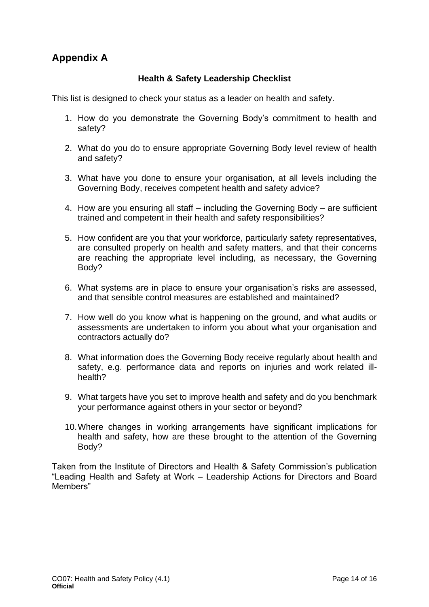## **Appendix A**

#### **Health & Safety Leadership Checklist**

This list is designed to check your status as a leader on health and safety.

- 1. How do you demonstrate the Governing Body's commitment to health and safety?
- 2. What do you do to ensure appropriate Governing Body level review of health and safety?
- 3. What have you done to ensure your organisation, at all levels including the Governing Body, receives competent health and safety advice?
- 4. How are you ensuring all staff including the Governing Body are sufficient trained and competent in their health and safety responsibilities?
- 5. How confident are you that your workforce, particularly safety representatives, are consulted properly on health and safety matters, and that their concerns are reaching the appropriate level including, as necessary, the Governing Body?
- 6. What systems are in place to ensure your organisation's risks are assessed, and that sensible control measures are established and maintained?
- 7. How well do you know what is happening on the ground, and what audits or assessments are undertaken to inform you about what your organisation and contractors actually do?
- 8. What information does the Governing Body receive regularly about health and safety, e.g. performance data and reports on injuries and work related illhealth?
- 9. What targets have you set to improve health and safety and do you benchmark your performance against others in your sector or beyond?
- 10.Where changes in working arrangements have significant implications for health and safety, how are these brought to the attention of the Governing Body?

Taken from the Institute of Directors and Health & Safety Commission's publication "Leading Health and Safety at Work – Leadership Actions for Directors and Board Members"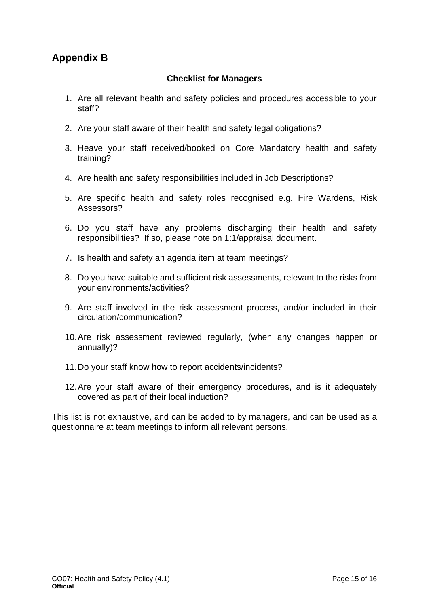## **Appendix B**

#### **Checklist for Managers**

- 1. Are all relevant health and safety policies and procedures accessible to your staff?
- 2. Are your staff aware of their health and safety legal obligations?
- 3. Heave your staff received/booked on Core Mandatory health and safety training?
- 4. Are health and safety responsibilities included in Job Descriptions?
- 5. Are specific health and safety roles recognised e.g. Fire Wardens, Risk Assessors?
- 6. Do you staff have any problems discharging their health and safety responsibilities? If so, please note on 1:1/appraisal document.
- 7. Is health and safety an agenda item at team meetings?
- 8. Do you have suitable and sufficient risk assessments, relevant to the risks from your environments/activities?
- 9. Are staff involved in the risk assessment process, and/or included in their circulation/communication?
- 10.Are risk assessment reviewed regularly, (when any changes happen or annually)?
- 11.Do your staff know how to report accidents/incidents?
- 12.Are your staff aware of their emergency procedures, and is it adequately covered as part of their local induction?

This list is not exhaustive, and can be added to by managers, and can be used as a questionnaire at team meetings to inform all relevant persons.